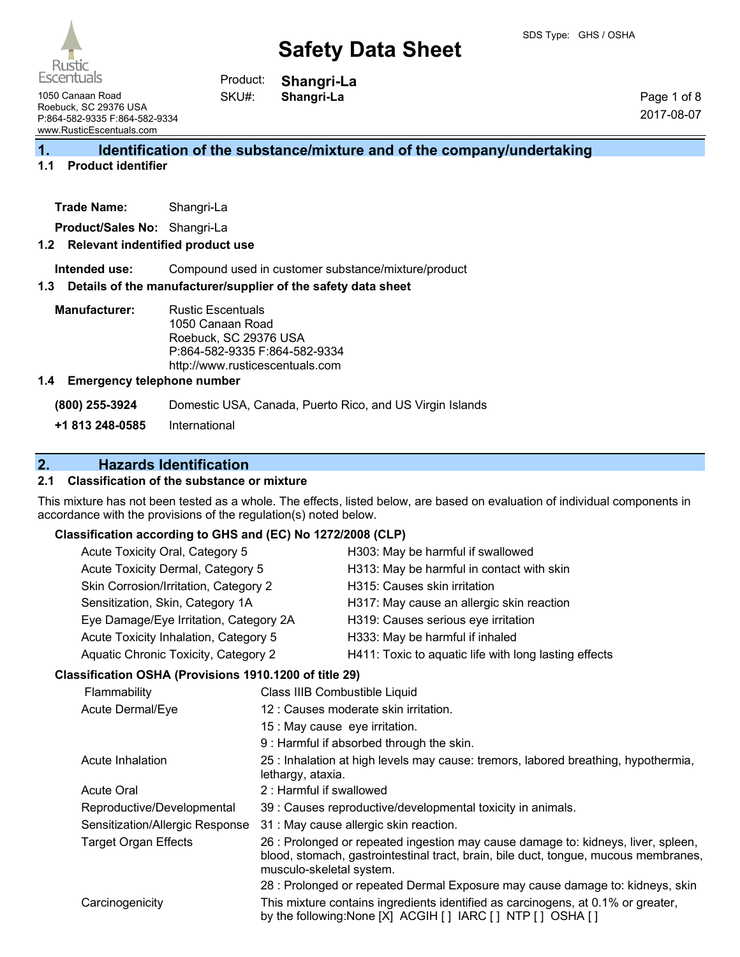



**Shangri-La Shangri-La** Product: SKU#:

1050 Canaan Road Roebuck, SC 29376 USA P:864-582-9335 F:864-582-9334 www.RusticEscentuals.com

Page 1 of 8 2017-08-07

# **1. Identification of the substance/mixture and of the company/undertaking**

# **1.1 Product identifier**

**Product/Sales No:** Shangri-La

#### **1.2 Relevant indentified product use**

**Intended use:** Compound used in customer substance/mixture/product

#### **1.3 Details of the manufacturer/supplier of the safety data sheet**

**Manufacturer:** Rustic Escentuals 1050 Canaan Road Roebuck, SC 29376 USA P:864-582-9335 F:864-582-9334 http://www.rusticescentuals.com

#### **1.4 Emergency telephone number**

**(800) 255-3924** Domestic USA, Canada, Puerto Rico, and US Virgin Islands

**+1 813 248-0585** International

# **2. Hazards Identification**

## **2.1 Classification of the substance or mixture**

This mixture has not been tested as a whole. The effects, listed below, are based on evaluation of individual components in accordance with the provisions of the regulation(s) noted below.

#### **Classification according to GHS and (EC) No 1272/2008 (CLP)**

| Acute Toxicity Oral, Category 5        | H303: May be harmful if swallowed                     |
|----------------------------------------|-------------------------------------------------------|
| Acute Toxicity Dermal, Category 5      | H313: May be harmful in contact with skin             |
| Skin Corrosion/Irritation, Category 2  | H315: Causes skin irritation                          |
| Sensitization, Skin, Category 1A       | H317: May cause an allergic skin reaction             |
| Eye Damage/Eye Irritation, Category 2A | H319: Causes serious eye irritation                   |
| Acute Toxicity Inhalation, Category 5  | H333: May be harmful if inhaled                       |
| Aquatic Chronic Toxicity, Category 2   | H411: Toxic to aquatic life with long lasting effects |
|                                        |                                                       |

#### **Classification OSHA (Provisions 1910.1200 of title 29)** Flammability Class IIIB Combustible Liquid

| <b>Flammability</b>             | Class IIIB Combustible Liquid                                                                                                                                                                        |
|---------------------------------|------------------------------------------------------------------------------------------------------------------------------------------------------------------------------------------------------|
| Acute Dermal/Eye                | 12 : Causes moderate skin irritation.                                                                                                                                                                |
|                                 | 15 : May cause eye irritation.                                                                                                                                                                       |
|                                 | 9 : Harmful if absorbed through the skin.                                                                                                                                                            |
| Acute Inhalation                | 25 : Inhalation at high levels may cause: tremors, labored breathing, hypothermia,<br>lethargy, ataxia.                                                                                              |
| <b>Acute Oral</b>               | 2: Harmful if swallowed                                                                                                                                                                              |
| Reproductive/Developmental      | 39 : Causes reproductive/developmental toxicity in animals.                                                                                                                                          |
| Sensitization/Allergic Response | 31 : May cause allergic skin reaction.                                                                                                                                                               |
| <b>Target Organ Effects</b>     | 26 : Prolonged or repeated ingestion may cause damage to: kidneys, liver, spleen,<br>blood, stomach, gastrointestinal tract, brain, bile duct, tongue, mucous membranes,<br>musculo-skeletal system. |
|                                 | 28 : Prolonged or repeated Dermal Exposure may cause damage to: kidneys, skin                                                                                                                        |
| Carcinogenicity                 | This mixture contains ingredients identified as carcinogens, at 0.1% or greater,<br>by the following: None [X] ACGIH [] IARC [] NTP [] OSHA []                                                       |
|                                 |                                                                                                                                                                                                      |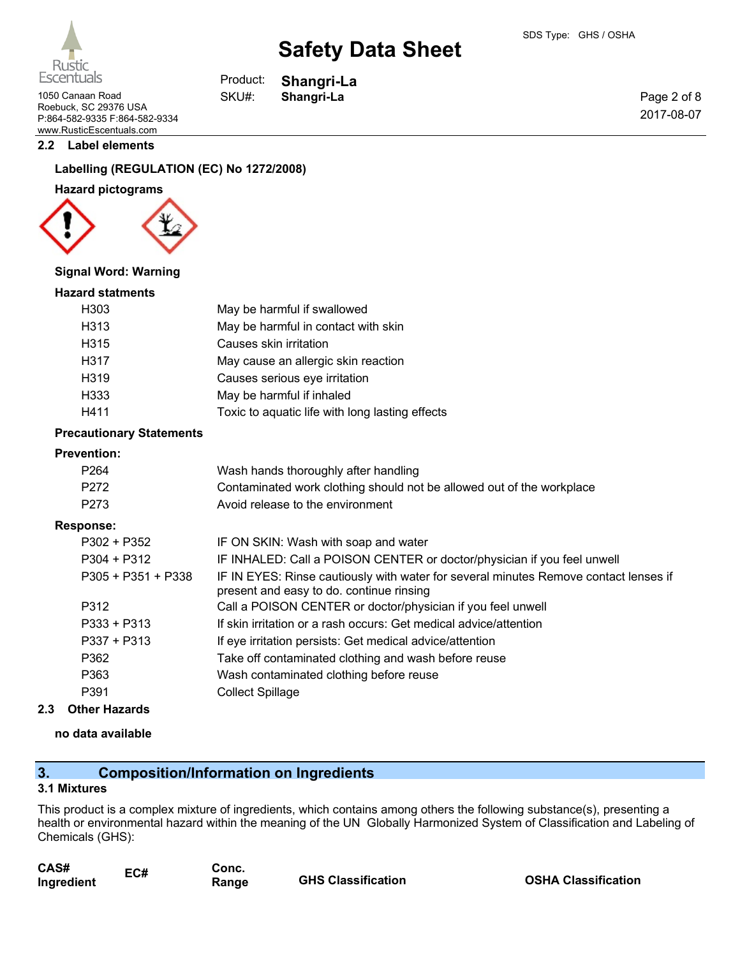

**Shangri-La**

Product: SKU#:

Rustic **Escentuals** 

1050 Canaan Road **Shangri-La** Roebuck, SC 29376 USA P:864-582-9335 F:864-582-9334 www.RusticEscentuals.com

#### **2.2 Label elements**

## **Labelling (REGULATION (EC) No 1272/2008)**

#### **Hazard pictograms**



#### **Signal Word: Warning**

#### **Hazard statments**

| H <sub>303</sub> | May be harmful if swallowed                     |
|------------------|-------------------------------------------------|
| H313             | May be harmful in contact with skin             |
| H315             | Causes skin irritation                          |
| H317             | May cause an allergic skin reaction             |
| H319             | Causes serious eye irritation                   |
| H333             | May be harmful if inhaled                       |
| H411             | Toxic to aquatic life with long lasting effects |

#### **Precautionary Statements**

# **Preventi**

| <b>Prevention:</b>   |                                                                                                                                  |
|----------------------|----------------------------------------------------------------------------------------------------------------------------------|
| P <sub>264</sub>     | Wash hands thoroughly after handling                                                                                             |
| P272                 | Contaminated work clothing should not be allowed out of the workplace                                                            |
| P273                 | Avoid release to the environment                                                                                                 |
| Response:            |                                                                                                                                  |
| $P302 + P352$        | IF ON SKIN: Wash with soap and water                                                                                             |
| $P304 + P312$        | IF INHALED: Call a POISON CENTER or doctor/physician if you feel unwell                                                          |
| $P305 + P351 + P338$ | IF IN EYES: Rinse cautiously with water for several minutes Remove contact lenses if<br>present and easy to do. continue rinsing |
| P312                 | Call a POISON CENTER or doctor/physician if you feel unwell                                                                      |
| $P333 + P313$        | If skin irritation or a rash occurs: Get medical advice/attention                                                                |
| $P337 + P313$        | If eye irritation persists: Get medical advice/attention                                                                         |
| P362                 | Take off contaminated clothing and wash before reuse                                                                             |
| P363                 | Wash contaminated clothing before reuse                                                                                          |
| P391                 | <b>Collect Spillage</b>                                                                                                          |
|                      |                                                                                                                                  |

### **2.3 Other Hazards**

#### **no data available**

# **3. Composition/Information on Ingredients**

#### **3.1 Mixtures**

This product is a complex mixture of ingredients, which contains among others the following substance(s), presenting a health or environmental hazard within the meaning of the UN Globally Harmonized System of Classification and Labeling of Chemicals (GHS):

| CAS#       | EC# | Conc. |                           |
|------------|-----|-------|---------------------------|
| Ingredient |     | Range | <b>GHS Classification</b> |

**OSHA Classification** 

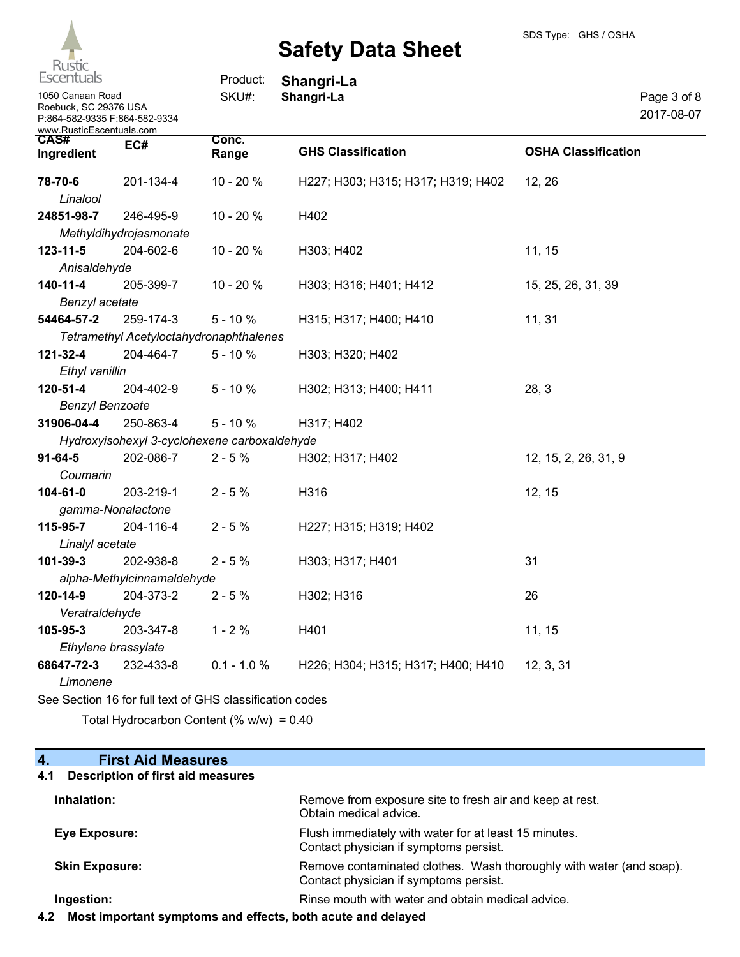

| Escentuals                                                                 |                            | Product:                                     | Shangri-La                         |                            |                           |
|----------------------------------------------------------------------------|----------------------------|----------------------------------------------|------------------------------------|----------------------------|---------------------------|
| 1050 Canaan Road<br>Roebuck, SC 29376 USA<br>P:864-582-9335 F:864-582-9334 |                            | SKU#:                                        | Shangri-La                         |                            | Page 3 of 8<br>2017-08-07 |
| www.RusticEscentuals.com<br>CAS#<br>Ingredient                             | EC#                        | Conc.<br>Range                               | <b>GHS Classification</b>          | <b>OSHA Classification</b> |                           |
| 78-70-6                                                                    | 201-134-4                  | 10 - 20 %                                    | H227; H303; H315; H317; H319; H402 | 12, 26                     |                           |
| Linalool                                                                   |                            |                                              |                                    |                            |                           |
| 24851-98-7                                                                 | 246-495-9                  | 10 - 20 %                                    | H402                               |                            |                           |
|                                                                            | Methyldihydrojasmonate     |                                              |                                    |                            |                           |
| $123 - 11 - 5$                                                             | 204-602-6                  | 10 - 20 %                                    | H303; H402                         | 11, 15                     |                           |
| Anisaldehyde                                                               |                            |                                              |                                    |                            |                           |
| $140 - 11 - 4$                                                             | 205-399-7                  | 10 - 20 %                                    | H303; H316; H401; H412             | 15, 25, 26, 31, 39         |                           |
| Benzyl acetate                                                             |                            |                                              |                                    |                            |                           |
| 54464-57-2                                                                 | 259-174-3                  | $5 - 10%$                                    | H315; H317; H400; H410             | 11, 31                     |                           |
|                                                                            |                            | Tetramethyl Acetyloctahydronaphthalenes      |                                    |                            |                           |
| 121-32-4                                                                   | 204-464-7                  | $5 - 10%$                                    | H303; H320; H402                   |                            |                           |
| Ethyl vanillin                                                             |                            |                                              |                                    |                            |                           |
| 120-51-4                                                                   | 204-402-9                  | $5 - 10%$                                    | H302; H313; H400; H411             | 28, 3                      |                           |
| <b>Benzyl Benzoate</b>                                                     |                            |                                              |                                    |                            |                           |
| 31906-04-4                                                                 | 250-863-4                  | $5 - 10%$                                    | H317; H402                         |                            |                           |
|                                                                            |                            | Hydroxyisohexyl 3-cyclohexene carboxaldehyde |                                    |                            |                           |
| $91 - 64 - 5$                                                              | 202-086-7                  | $2 - 5%$                                     | H302; H317; H402                   | 12, 15, 2, 26, 31, 9       |                           |
| Coumarin                                                                   |                            |                                              |                                    |                            |                           |
| 104-61-0                                                                   | 203-219-1                  | $2 - 5 %$                                    | H316                               | 12, 15                     |                           |
|                                                                            | gamma-Nonalactone          |                                              |                                    |                            |                           |
| 115-95-7                                                                   | 204-116-4                  | $2 - 5%$                                     | H227; H315; H319; H402             |                            |                           |
| Linalyl acetate                                                            |                            |                                              |                                    |                            |                           |
| 101-39-3                                                                   | 202-938-8                  | $2 - 5%$                                     | H303; H317; H401                   | 31                         |                           |
|                                                                            | alpha-Methylcinnamaldehyde |                                              |                                    |                            |                           |
| 120-14-9                                                                   | 204-373-2                  | $2 - 5%$                                     | H302; H316                         | 26                         |                           |
| Veratraldehyde                                                             |                            |                                              |                                    |                            |                           |
| 105-95-3                                                                   | 203-347-8                  | $1 - 2%$                                     | H401                               | 11, 15                     |                           |
|                                                                            | Ethylene brassylate        |                                              |                                    |                            |                           |
| 68647-72-3                                                                 | 232-433-8                  | $0.1 - 1.0 %$                                | H226; H304; H315; H317; H400; H410 | 12, 3, 31                  |                           |
| Limonene                                                                   |                            |                                              |                                    |                            |                           |

See Section 16 for full text of GHS classification codes

Total Hydrocarbon Content (% w/w) = 0.40

# **4. First Aid Measures**

## **4.1 Description of first aid measures**

| Inhalation:           | Remove from exposure site to fresh air and keep at rest.<br>Obtain medical advice.                            |
|-----------------------|---------------------------------------------------------------------------------------------------------------|
| Eye Exposure:         | Flush immediately with water for at least 15 minutes.<br>Contact physician if symptoms persist.               |
| <b>Skin Exposure:</b> | Remove contaminated clothes. Wash thoroughly with water (and soap).<br>Contact physician if symptoms persist. |
| Ingestion:            | Rinse mouth with water and obtain medical advice.                                                             |

**4.2 Most important symptoms and effects, both acute and delayed**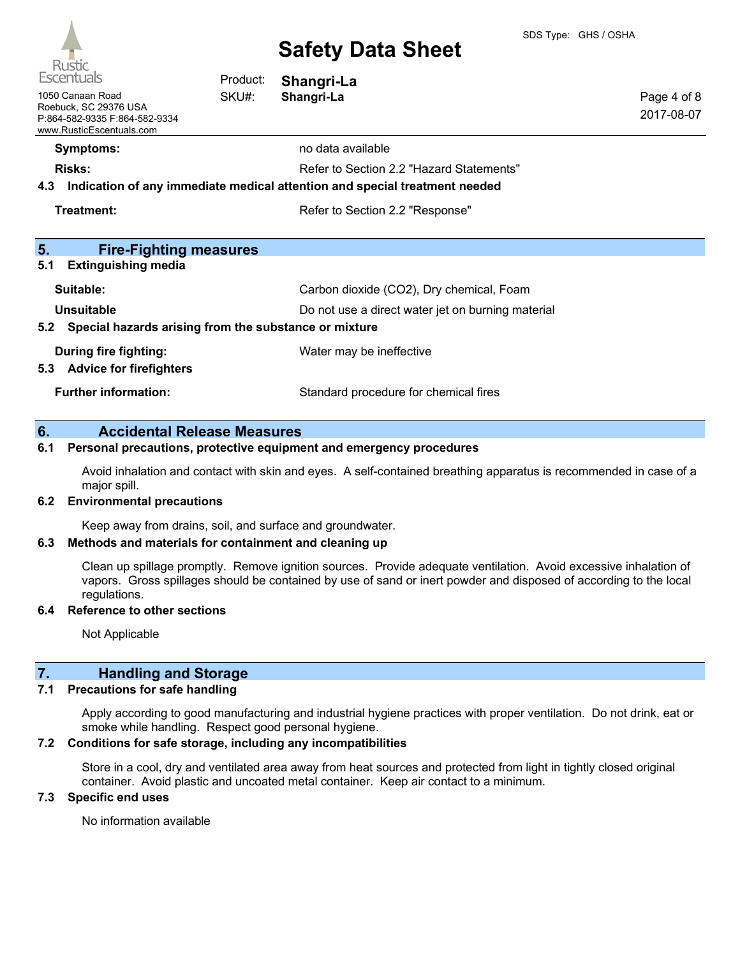

| <b>UNCDIT</b><br><b>Escentuals</b>                                                                     | Product: | Shangri-La                                                                                                             |                           |
|--------------------------------------------------------------------------------------------------------|----------|------------------------------------------------------------------------------------------------------------------------|---------------------------|
| 1050 Canaan Road<br>Roebuck, SC 29376 USA<br>P:864-582-9335 F:864-582-9334<br>www.RusticEscentuals.com | SKU#:    | Shangri-La                                                                                                             | Page 4 of 8<br>2017-08-07 |
| <b>Symptoms:</b>                                                                                       |          | no data available                                                                                                      |                           |
| <b>Risks:</b><br>4.3                                                                                   |          | Refer to Section 2.2 "Hazard Statements"<br>Indication of any immediate medical attention and special treatment needed |                           |
| Treatment:                                                                                             |          | Refer to Section 2.2 "Response"                                                                                        |                           |
| 5.<br><b>Fire-Fighting measures</b><br>5.1<br><b>Extinguishing media</b>                               |          |                                                                                                                        |                           |
| Suitable:                                                                                              |          | Carbon dioxide (CO2), Dry chemical, Foam                                                                               |                           |
| Unsuitable<br>Special hazards arising from the substance or mixture<br>5.2                             |          | Do not use a direct water jet on burning material                                                                      |                           |
| During fire fighting:<br>5.3 Advice for firefighters                                                   |          | Water may be ineffective                                                                                               |                           |
| <b>Further information:</b>                                                                            |          | Standard procedure for chemical fires                                                                                  |                           |

## **6. Accidental Release Measures**

### **6.1 Personal precautions, protective equipment and emergency procedures**

Avoid inhalation and contact with skin and eyes. A self-contained breathing apparatus is recommended in case of a major spill.

#### **6.2 Environmental precautions**

Keep away from drains, soil, and surface and groundwater.

#### **6.3 Methods and materials for containment and cleaning up**

Clean up spillage promptly. Remove ignition sources. Provide adequate ventilation. Avoid excessive inhalation of vapors. Gross spillages should be contained by use of sand or inert powder and disposed of according to the local regulations.

#### **6.4 Reference to other sections**

Not Applicable

## **7. Handling and Storage**

#### **7.1 Precautions for safe handling**

Apply according to good manufacturing and industrial hygiene practices with proper ventilation. Do not drink, eat or smoke while handling. Respect good personal hygiene.

### **7.2 Conditions for safe storage, including any incompatibilities**

Store in a cool, dry and ventilated area away from heat sources and protected from light in tightly closed original container. Avoid plastic and uncoated metal container. Keep air contact to a minimum.

## **7.3 Specific end uses**

No information available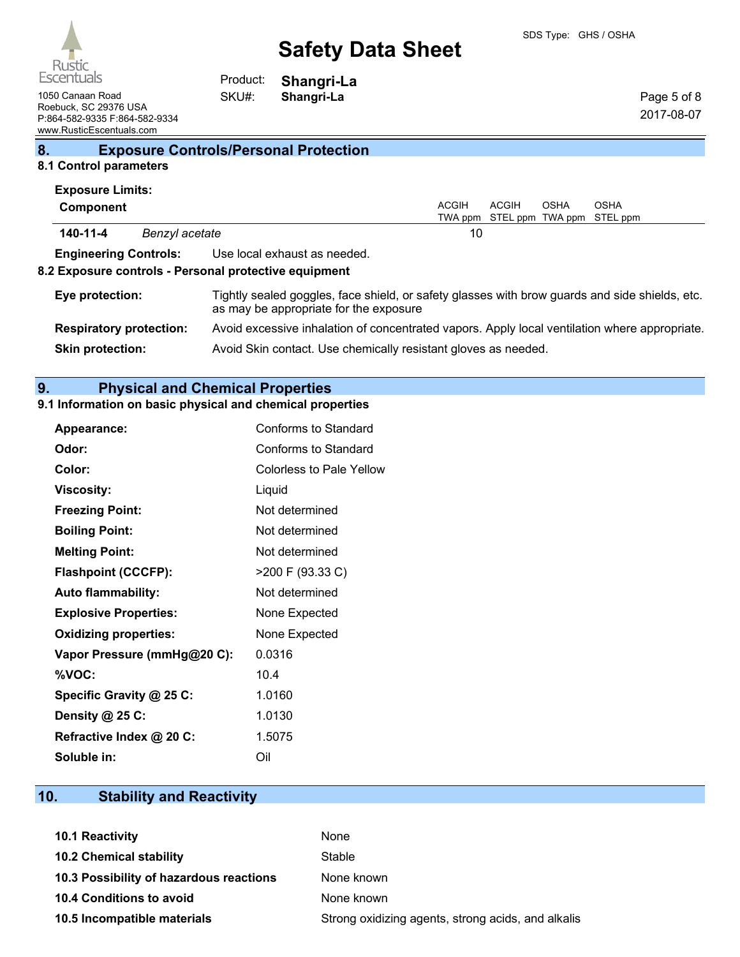

Page 5 of 8 2017-08-07

1050 Canaan Road **Shangri-La** Roebuck, SC 29376 USA P:864-582-9335 F:864-582-9334 www.RusticEscentuals.com

**Shangri-La** Product: SKU#:

# **8. Exposure Controls/Personal Protection**

# **8.1 Control parameters**

|                 | <b>Exposure Limits:</b>        |                |                                                                                                                                          |              |                                   |      |             |
|-----------------|--------------------------------|----------------|------------------------------------------------------------------------------------------------------------------------------------------|--------------|-----------------------------------|------|-------------|
|                 | Component                      |                |                                                                                                                                          | <b>ACGIH</b> | <b>ACGIH</b>                      | OSHA | <b>OSHA</b> |
|                 |                                |                |                                                                                                                                          |              | TWA ppm STEL ppm TWA ppm STEL ppm |      |             |
|                 | 140-11-4                       | Benzyl acetate |                                                                                                                                          | 10           |                                   |      |             |
|                 | <b>Engineering Controls:</b>   |                | Use local exhaust as needed.                                                                                                             |              |                                   |      |             |
|                 |                                |                | 8.2 Exposure controls - Personal protective equipment                                                                                    |              |                                   |      |             |
| Eye protection: |                                |                | Tightly sealed goggles, face shield, or safety glasses with brow guards and side shields, etc.<br>as may be appropriate for the exposure |              |                                   |      |             |
|                 | <b>Respiratory protection:</b> |                | Avoid excessive inhalation of concentrated vapors. Apply local ventilation where appropriate.                                            |              |                                   |      |             |
|                 | <b>Skin protection:</b>        |                | Avoid Skin contact. Use chemically resistant gloves as needed.                                                                           |              |                                   |      |             |

# **9. Physical and Chemical Properties**

# **9.1 Information on basic physical and chemical properties**

| Appearance:                  | Conforms to Standard            |
|------------------------------|---------------------------------|
| Odor:                        | Conforms to Standard            |
| Color:                       | <b>Colorless to Pale Yellow</b> |
| <b>Viscosity:</b>            | Liquid                          |
| <b>Freezing Point:</b>       | Not determined                  |
| <b>Boiling Point:</b>        | Not determined                  |
| <b>Melting Point:</b>        | Not determined                  |
| <b>Flashpoint (CCCFP):</b>   | >200 F (93.33 C)                |
| <b>Auto flammability:</b>    | Not determined                  |
| <b>Explosive Properties:</b> | None Expected                   |
| <b>Oxidizing properties:</b> | None Expected                   |
| Vapor Pressure (mmHg@20 C):  | 0.0316                          |
| %VOC:                        | 10.4                            |
| Specific Gravity @ 25 C:     | 1.0160                          |
| Density @ 25 C:              | 1.0130                          |
| Refractive Index @ 20 C:     | 1.5075                          |
| Soluble in:                  | Oil                             |

# **10. Stability and Reactivity**

| 10.1 Reactivity                         | None                                               |
|-----------------------------------------|----------------------------------------------------|
| <b>10.2 Chemical stability</b>          | Stable                                             |
| 10.3 Possibility of hazardous reactions | None known                                         |
| <b>10.4 Conditions to avoid</b>         | None known                                         |
| 10.5 Incompatible materials             | Strong oxidizing agents, strong acids, and alkalis |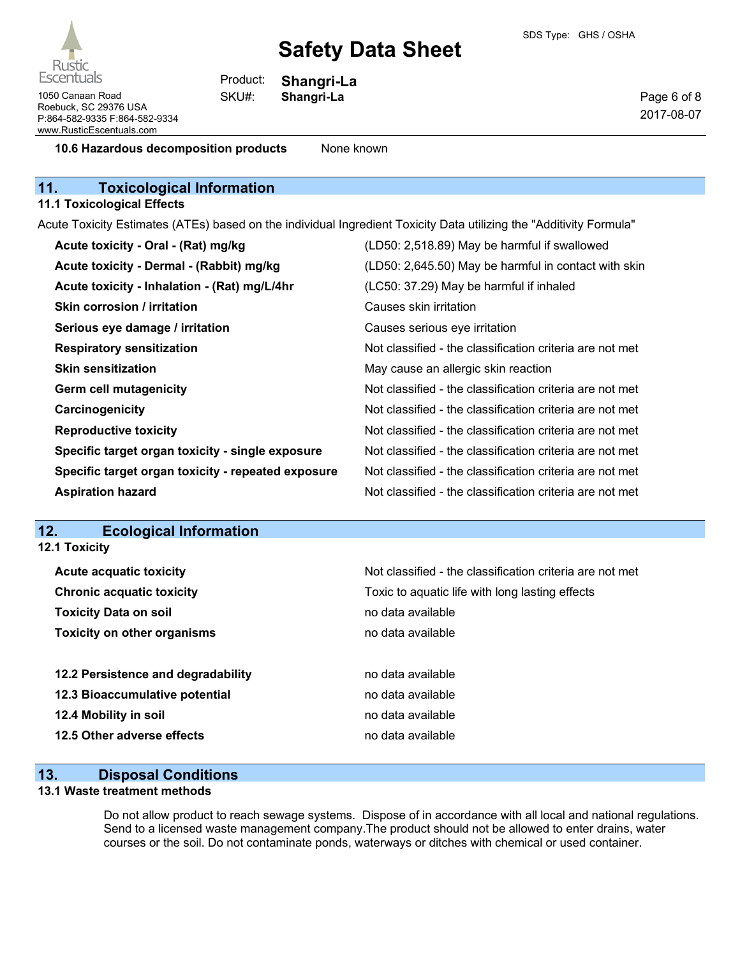Rustic **Escentuals** 

1050 Canaan Road **Shangri-La** Roebuck, SC 29376 USA P:864-582-9335 F:864-582-9334 www.RusticEscentuals.com

**Shangri-La** Product: SKU#:

Page 6 of 8 2017-08-07

**10.6 Hazardous decomposition products** None known

# **11. Toxicological Information**

### **11.1 Toxicological Effects**

Acute Toxicity Estimates (ATEs) based on the individual Ingredient Toxicity Data utilizing the "Additivity Formula"

| Acute toxicity - Oral - (Rat) mg/kg                | (LD50: 2,518.89) May be harmful if swallowed             |
|----------------------------------------------------|----------------------------------------------------------|
| Acute toxicity - Dermal - (Rabbit) mg/kg           | (LD50: 2,645.50) May be harmful in contact with skin     |
| Acute toxicity - Inhalation - (Rat) mg/L/4hr       | (LC50: 37.29) May be harmful if inhaled                  |
| <b>Skin corrosion / irritation</b>                 | Causes skin irritation                                   |
| Serious eye damage / irritation                    | Causes serious eye irritation                            |
| <b>Respiratory sensitization</b>                   | Not classified - the classification criteria are not met |
| <b>Skin sensitization</b>                          | May cause an allergic skin reaction                      |
| <b>Germ cell mutagenicity</b>                      | Not classified - the classification criteria are not met |
| Carcinogenicity                                    | Not classified - the classification criteria are not met |
| <b>Reproductive toxicity</b>                       | Not classified - the classification criteria are not met |
| Specific target organ toxicity - single exposure   | Not classified - the classification criteria are not met |
| Specific target organ toxicity - repeated exposure | Not classified - the classification criteria are not met |
| <b>Aspiration hazard</b>                           | Not classified - the classification criteria are not met |

# **12. Ecological Information**

| <b>12.1 Toxicity</b>               |                                                          |
|------------------------------------|----------------------------------------------------------|
| <b>Acute acquatic toxicity</b>     | Not classified - the classification criteria are not met |
| <b>Chronic acquatic toxicity</b>   | Toxic to aquatic life with long lasting effects          |
| <b>Toxicity Data on soil</b>       | no data available                                        |
| <b>Toxicity on other organisms</b> | no data available                                        |
| 12.2 Persistence and degradability | no data available                                        |
| 12.3 Bioaccumulative potential     | no data available                                        |
| 12.4 Mobility in soil              | no data available                                        |
| 12.5 Other adverse effects         | no data available                                        |

# **13. Disposal Conditions**

#### **13.1 Waste treatment methods**

Do not allow product to reach sewage systems. Dispose of in accordance with all local and national regulations. Send to a licensed waste management company.The product should not be allowed to enter drains, water courses or the soil. Do not contaminate ponds, waterways or ditches with chemical or used container.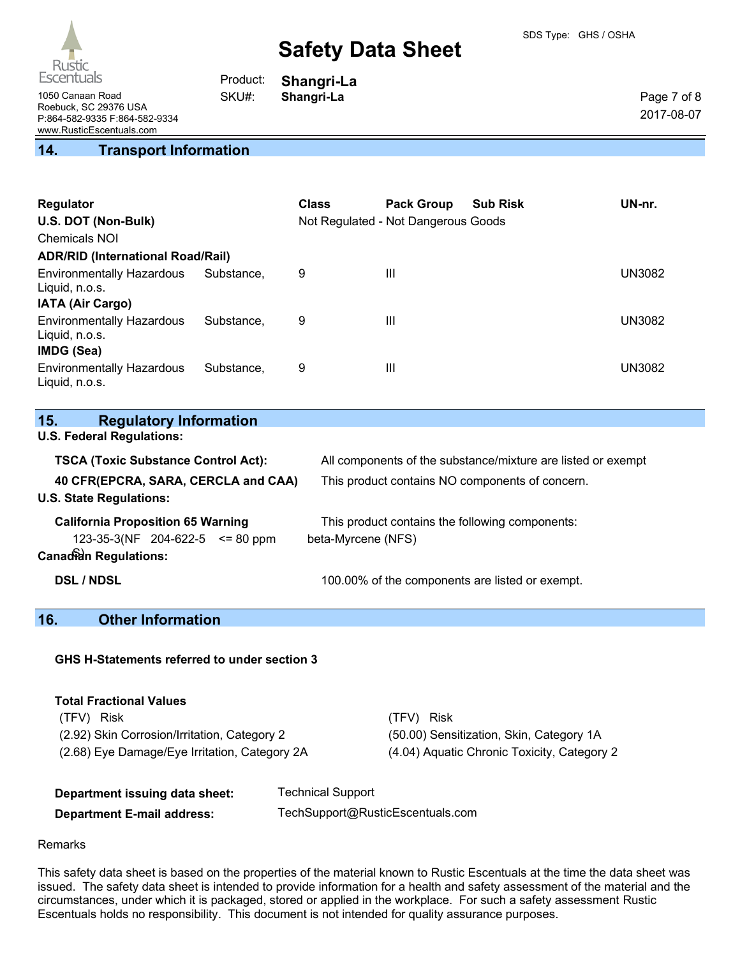

**Shangri-La**

Product: SKU#:

Page 7 of 8 2017-08-07

1050 Canaan Road **Shangri-La** Roebuck, SC 29376 USA P:864-582-9335 F:864-582-9334 www.RusticEscentuals.com

## **14. Transport Information**

| Regulator<br>U.S. DOT (Non-Bulk)<br><b>Chemicals NOI</b><br><b>ADR/RID (International Road/Rail)</b> |            | <b>Class</b> | <b>Pack Group</b><br>Not Regulated - Not Dangerous Goods | <b>Sub Risk</b> | UN-nr. |
|------------------------------------------------------------------------------------------------------|------------|--------------|----------------------------------------------------------|-----------------|--------|
|                                                                                                      |            |              |                                                          |                 |        |
| <b>Environmentally Hazardous</b><br>Liquid, n.o.s.                                                   | Substance. | 9            | Ш                                                        |                 | UN3082 |
| <b>IATA (Air Cargo)</b>                                                                              |            |              |                                                          |                 |        |
| <b>Environmentally Hazardous</b><br>Liquid, n.o.s.                                                   | Substance. | 9            | $\mathbf{III}$                                           |                 | UN3082 |
| IMDG (Sea)                                                                                           |            |              |                                                          |                 |        |
| <b>Environmentally Hazardous</b><br>Liquid, n.o.s.                                                   | Substance. | 9            | Ш                                                        |                 | UN3082 |

| 15. | <b>Regulatory Information</b> |
|-----|-------------------------------|
|     |                               |

**U.S. Federal Regulations:**

| <b>TSCA (Toxic Substance Control Act):</b>                                                                         | All components of the substance/mixture are listed or exempt          |
|--------------------------------------------------------------------------------------------------------------------|-----------------------------------------------------------------------|
| 40 CFR(EPCRA, SARA, CERCLA and CAA)<br><b>U.S. State Regulations:</b>                                              | This product contains NO components of concern.                       |
| <b>California Proposition 65 Warning</b><br>$123-35-3(NF)$ 204-622-5 $\leq$ 80 ppm<br><b>Canadian Regulations:</b> | This product contains the following components:<br>beta-Myrcene (NFS) |
| <b>DSL / NDSL</b>                                                                                                  | 100.00% of the components are listed or exempt.                       |

# **16. Other Information**

**GHS H-Statements referred to under section 3**

| <b>Total Fractional Values</b>                |                   |                                             |
|-----------------------------------------------|-------------------|---------------------------------------------|
| <b>Risk</b><br>(TFV).                         |                   | (TFV) Risk                                  |
| (2.92) Skin Corrosion/Irritation, Category 2  |                   | (50.00) Sensitization, Skin, Category 1A    |
| (2.68) Eye Damage/Eye Irritation, Category 2A |                   | (4.04) Aquatic Chronic Toxicity, Category 2 |
|                                               |                   |                                             |
| Donartmont iccuing data choot:                | Technical Sunnort |                                             |

| Department issuing data sheet:    | <b>Technical Support</b>         |
|-----------------------------------|----------------------------------|
| <b>Department E-mail address:</b> | TechSupport@RusticEscentuals.com |

#### Remarks

This safety data sheet is based on the properties of the material known to Rustic Escentuals at the time the data sheet was issued. The safety data sheet is intended to provide information for a health and safety assessment of the material and the circumstances, under which it is packaged, stored or applied in the workplace. For such a safety assessment Rustic Escentuals holds no responsibility. This document is not intended for quality assurance purposes.